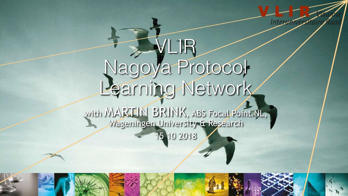## VLIR Nagoya Protocol Learning Network

with MARTIN BRINK, ABS Focal Point NL, Wageningen University & Research

15 10 2018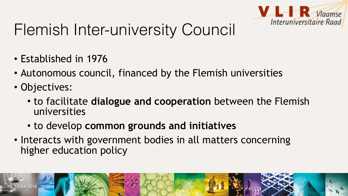

### Flemish Inter-university Council

- Established in 1976
- Autonomous council, financed by the Flemish universities
- Objectives:

23/04/2018

- to facilitate **dialogue and cooperation** between the Flemish universities
- to develop **common grounds and initiatives**
- Interacts with government bodies in all matters concerning higher education policy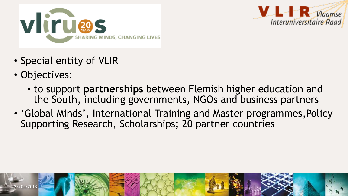



- Special entity of VLIR
- Objectives:

23/04/2018

- to support **partnerships** between Flemish higher education and the South, including governments, NGOs and business partners
- 'Global Minds', International Training and Master programmes,Policy Supporting Research, Scholarships; 20 partner countries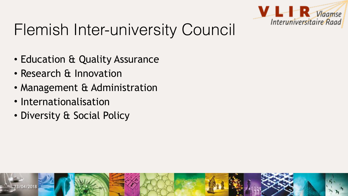

### Flemish Inter-university Council

- Education & Quality Assurance
- Research & Innovation
- Management & Administration
- Internationalisation
- Diversity & Social Policy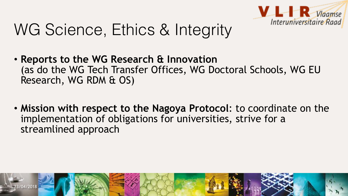

#### WG Science, Ethics & Integrity

23/04/2018

- **Reports to the WG Research & Innovation** (as do the WG Tech Transfer Offices, WG Doctoral Schools, WG EU Research, WG RDM & OS)
- **Mission with respect to the Nagoya Protocol**: to coordinate on the implementation of obligations for universities, strive for a streamlined approach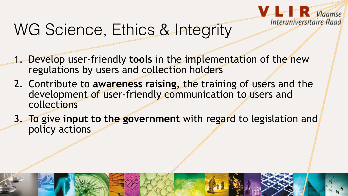

#### WG Science, Ethics & Integrity

- 1. Develop user-friendly **tools** in the implementation of the new regulations by users and collection holders
- 2. Contribute to **awareness raising**, the training of users and the development of user-friendly communication to users and collections
- 3. To give **input to the government** with regard to legislation and policy actions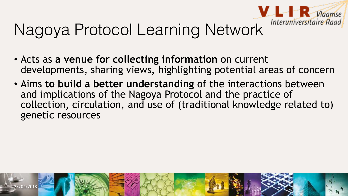

# Nagoya Protocol Learning Network Interuniversitaire Raad

- Acts as **a venue for collecting information** on current developments, sharing views, highlighting potential areas of concern
- Aims **to build a better understanding** of the interactions between and implications of the Nagoya Protocol and the practice of collection, circulation, and use of (traditional knowledge related to) genetic resources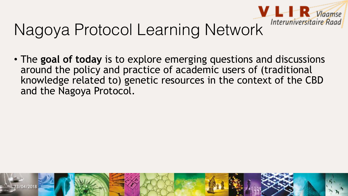

# Nagoya Protocol Learning Network Interuniversitaire Raad

• The **goal of today** is to explore emerging questions and discussions around the policy and practice of academic users of (traditional knowledge related to) genetic resources in the context of the CBD and the Nagoya Protocol.